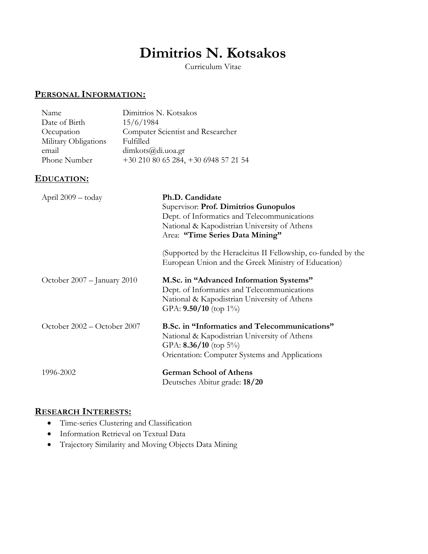# **Dimitrios N. Kotsakos**

Curriculum Vitae

## **PERSONAL INFORMATION:**

| Name                 | Dimitrios N. Kotsakos             |
|----------------------|-----------------------------------|
| Date of Birth        | 15/6/1984                         |
| Occupation           | Computer Scientist and Researcher |
| Military Obligations | Fulfilled                         |
| email                | dimkots@di.uoa.gr                 |
| Phone Number         | $+302108065284, +306948572154$    |

## **EDUCATION:**

| April 2009 - today          | Ph.D. Candidate<br>Supervisor: Prof. Dimitrios Gunopulos<br>Dept. of Informatics and Telecommunications<br>National & Kapodistrian University of Athens<br>Area: "Time Series Data Mining"<br>(Supported by the Heracleitus II Fellowship, co-funded by the<br>European Union and the Greek Ministry of Education) |
|-----------------------------|--------------------------------------------------------------------------------------------------------------------------------------------------------------------------------------------------------------------------------------------------------------------------------------------------------------------|
| October 2007 – January 2010 | M.Sc. in "Advanced Information Systems"<br>Dept. of Informatics and Telecommunications<br>National & Kapodistrian University of Athens<br>GPA: $9.50/10$ (top 1%)                                                                                                                                                  |
| October 2002 – October 2007 | B.Sc. in "Informatics and Telecommunications"<br>National & Kapodistrian University of Athens<br>GPA: $8.36/10$ (top 5%)<br>Orientation: Computer Systems and Applications                                                                                                                                         |
| 1996-2002                   | <b>German School of Athens</b><br>Deutsches Abitur grade: 18/20                                                                                                                                                                                                                                                    |

#### **RESEARCH INTERESTS:**

- Time-series Clustering and Classification
- Information Retrieval on Textual Data
- Trajectory Similarity and Moving Objects Data Mining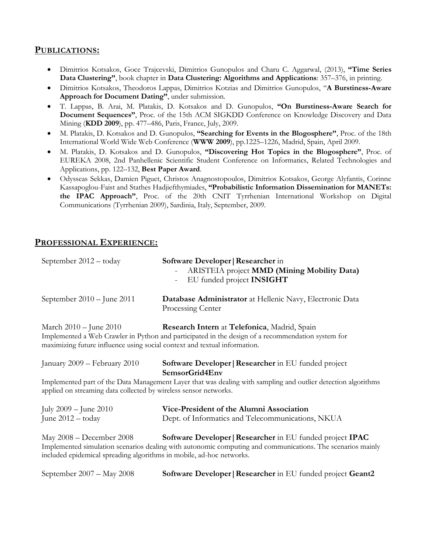#### **PUBLICATIONS:**

- Dimitrios Kotsakos, Goce Trajcevski, Dimitrios Gunopulos and Charu C. Aggarwal, (2013), **"Time Series Data Clustering"**, book chapter in **Data Clustering: Algorithms and Applications**: 357–376, in printing.
- Dimitrios Kotsakos, Theodoros Lappas, Dimitrios Kotzias and Dimitrios Gunopulos, "**A Burstiness-Aware Approach for Document Dating"**, under submission.
- T. Lappas, B. Arai, M. Platakis, D. Kotsakos and D. Gunopulos, **"On Burstiness-Aware Search for Document Sequences"**, Proc. of the 15th ACM SIGKDD Conference on Knowledge Discovery and Data Mining (**KDD 2009**), pp. 477–486, Paris, France, July, 2009.
- M. Platakis, D. Kotsakos and D. Gunopulos, **"Searching for Events in the Blogosphere"**, Proc. of the 18th International World Wide Web Conference (**WWW 2009**), pp.1225–1226, Madrid, Spain, April 2009.
- M. Platakis, D. Kotsakos and D. Gunopulos, **"Discovering Hot Topics in the Blogosphere"**, Proc. of EUREKA 2008, 2nd Panhellenic Scientific Student Conference on Informatics, Related Technologies and Applications, pp. 122–132, **Best Paper Award**.
- Odysseas Sekkas, Damien Piguet, Christos Anagnostopoulos, Dimitrios Kotsakos, George Alyfantis, Corinne Kassapoglou-Faist and Stathes Hadjiefthymiades, **"Probabilistic Information Dissemination for MANETs: the IPAC Approach"**, Proc. of the 20th CNIT Tyrrhenian International Workshop on Digital Communications (Tyrrhenian 2009), Sardinia, Italy, September, 2009.

#### **PROFESSIONAL EXPERIENCE:**

| September 2012 - today                                                                                                                                                                                                                                                      | Software Developer   Researcher in<br><b>ARISTEIA</b> project <b>MMD</b> (Mining Mobility Data)<br>EU funded project INSIGHT |  |
|-----------------------------------------------------------------------------------------------------------------------------------------------------------------------------------------------------------------------------------------------------------------------------|------------------------------------------------------------------------------------------------------------------------------|--|
| September $2010 -$ June 2011                                                                                                                                                                                                                                                | Database Administrator at Hellenic Navy, Electronic Data<br>Processing Center                                                |  |
| Research Intern at Telefonica, Madrid, Spain<br>March 2010 – June 2010<br>Implemented a Web Crawler in Python and participated in the design of a recommendation system for<br>maximizing future influence using social context and textual information.                    |                                                                                                                              |  |
| January 2009 – February 2010                                                                                                                                                                                                                                                | <b>Software Developer   Researcher</b> in EU funded project<br>SemsorGrid4Env                                                |  |
| Implemented part of the Data Management Layer that was dealing with sampling and outlier detection algorithms<br>applied on streaming data collected by wireless sensor networks.                                                                                           |                                                                                                                              |  |
| July $2009 -$ June $2010$                                                                                                                                                                                                                                                   | Vice-President of the Alumni Association                                                                                     |  |
| June 2012 - today                                                                                                                                                                                                                                                           | Dept. of Informatics and Telecommunications, NKUA                                                                            |  |
| Software Developer   Researcher in EU funded project IPAC<br>May 2008 – December 2008<br>Implemented simulation scenarios dealing with autonomic computing and communications. The scenarios mainly<br>included epidemical spreading algorithms in mobile, ad-hoc networks. |                                                                                                                              |  |
| September 2007 - May 2008                                                                                                                                                                                                                                                   | Software Developer   Researcher in EU funded project Geant2                                                                  |  |